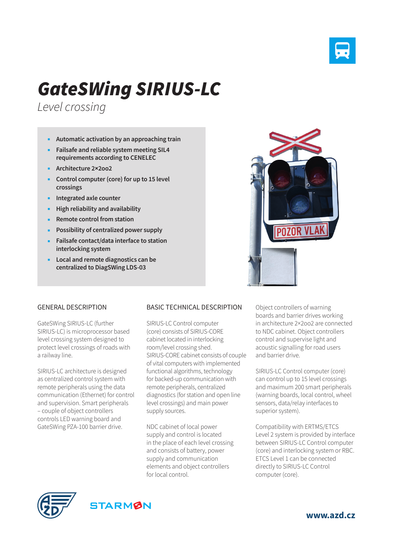

## *GateSWing SIRIUS-LC*

*Level crossing*

- **Automatic activation by an approaching train**
- **Failsafe and reliable system meeting SIL4 requirements according to CENELEC**
- **Architecture 2×2oo2**
- **Control computer (core) for up to 15 level crossings**
- **Integrated axle counter**
- **High reliability and availability**
- **Remote control from station**
- **Possibility of centralized power supply**
- **Failsafe contact/data interface to station interlocking system**
- **Local and remote diagnostics can be centralized to DiagSWing LDS-03**



## GENERAL DESCRIPTION

GateSWing SIRIUS-LC (further SIRIUS-LC) is microprocessor based level crossing system designed to protect level crossings of roads with a railway line.

SIRIUS-LC architecture is designed as centralized control system with remote peripherals using the data communication (Ethernet) for control and supervision. Smart peripherals – couple of object controllers controls LED warning board and GateSWing PZA-100 barrier drive.

## BASIC TECHNICAL DESCRIPTION

SIRIUS-LC Control computer (core) consists of SIRIUS-CORE cabinet located in interlocking room/level crossing shed. SIRIUS-CORE cabinet consists of couple of vital computers with implemented functional algorithms, technology for backed-up communication with remote peripherals, centralized diagnostics (for station and open line level crossings) and main power supply sources.

NDC cabinet of local power supply and control is located in the place of each level crossing and consists of battery, power supply and communication elements and object controllers for local control.

Object controllers of warning boards and barrier drives working in architecture 2×2oo2 are connected to NDC cabinet. Object controllers control and supervise light and acoustic signalling for road users and barrier drive.

SIRIUS-LC Control computer (core) can control up to 15 level crossings and maximum 200 smart peripherals (warning boards, local control, wheel sensors, data/relay interfaces to superior system).

Compatibility with ERTMS/ETCS Level 2 system is provided by interface between SIRIUS-LC Control computer (core) and interlocking system or RBC. ETCS Level 1 can be connected directly to SIRIUS-LC Control computer (core).